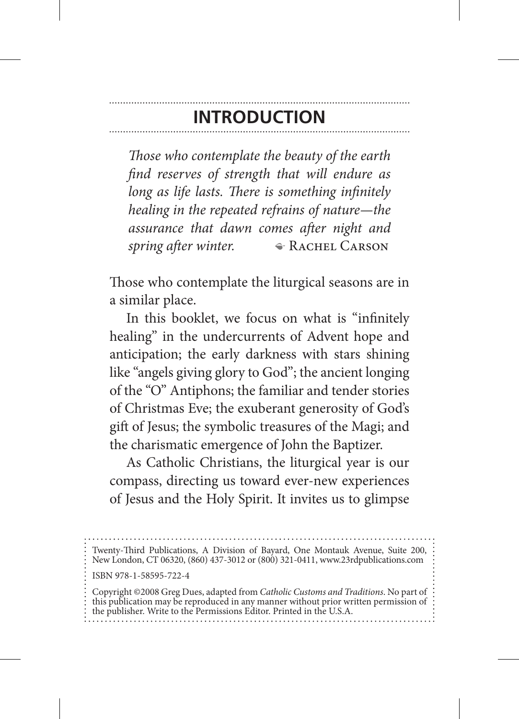## **Introduction**

*Those who contemplate the beauty of the earth find reserves of strength that will endure as long as life lasts. There is something infinitely healing in the repeated refrains of nature—the assurance that dawn comes after night and spring after winter.* • **ACHEL CARSON** 

Those who contemplate the liturgical seasons are in a similar place.

In this booklet, we focus on what is "infinitely healing" in the undercurrents of Advent hope and anticipation; the early darkness with stars shining like "angels giving glory to God"; the ancient longing of the "O" Antiphons; the familiar and tender stories of Christmas Eve; the exuberant generosity of God's gift of Jesus; the symbolic treasures of the Magi; and the charismatic emergence of John the Baptizer.

As Catholic Christians, the liturgical year is our compass, directing us toward ever-new experiences of Jesus and the Holy Spirit. It invites us to glimpse

Twenty-Third Publications, A Division of Bayard, One Montauk Avenue, Suite 200, New London, CT 06320, (860) 437-3012 or (800) 321-0411, www.23rdpublications.com ISBN 978-1-58595-722-4 Copyright ©2008 Greg Dues, adapted from *Catholic Customs and Traditions*. No part of this publication may be reproduced in any manner without prior written permission of the publisher. Write to the Permissions Editor. Printed in the U.S.A.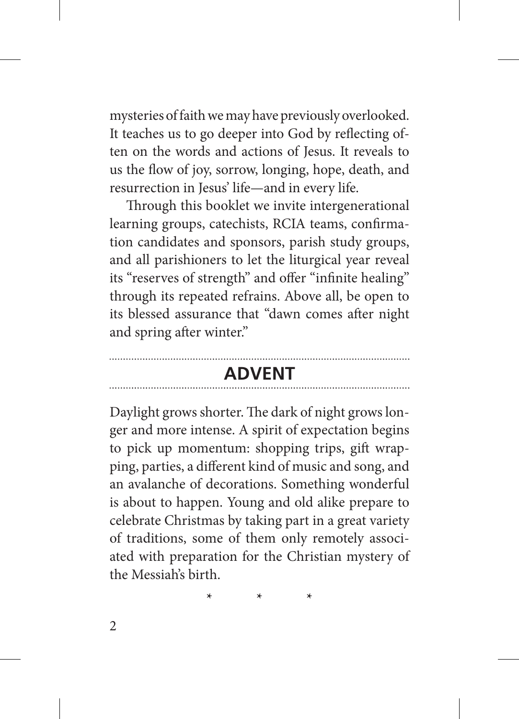mysteries of faith we may have previously overlooked. It teaches us to go deeper into God by reflecting often on the words and actions of Jesus. It reveals to us the flow of joy, sorrow, longing, hope, death, and resurrection in Jesus' life—and in every life.

Through this booklet we invite intergenerational learning groups, catechists, RCIA teams, confirmation candidates and sponsors, parish study groups, and all parishioners to let the liturgical year reveal its "reserves of strength" and offer "infinite healing" through its repeated refrains. Above all, be open to its blessed assurance that "dawn comes after night and spring after winter."

## **Advent**

Daylight grows shorter. The dark of night grows longer and more intense. A spirit of expectation begins to pick up momentum: shopping trips, gift wrapping, parties, a different kind of music and song, and an avalanche of decorations. Something wonderful is about to happen. Young and old alike prepare to celebrate Christmas by taking part in a great variety of traditions, some of them only remotely associated with preparation for the Christian mystery of the Messiah's birth.

**\* \* \***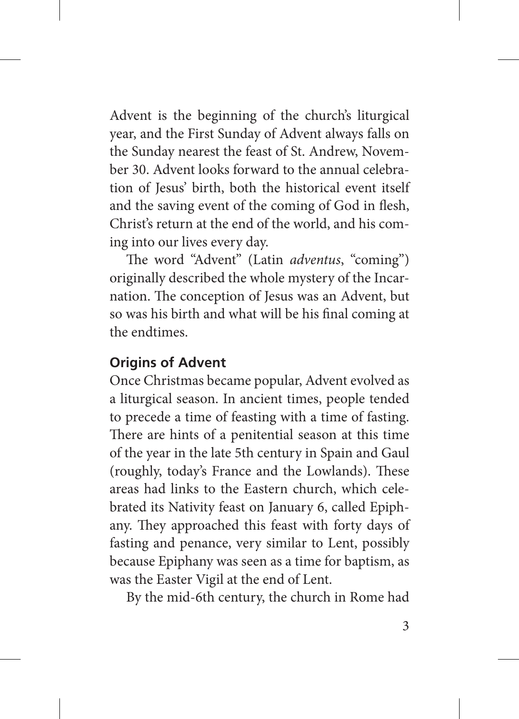Advent is the beginning of the church's liturgical year, and the First Sunday of Advent always falls on the Sunday nearest the feast of St. Andrew, November 30. Advent looks forward to the annual celebration of Jesus' birth, both the historical event itself and the saving event of the coming of God in flesh, Christ's return at the end of the world, and his coming into our lives every day.

The word "Advent" (Latin *adventus*, "coming") originally described the whole mystery of the Incarnation. The conception of Jesus was an Advent, but so was his birth and what will be his final coming at the endtimes.

## **Origins of Advent**

Once Christmas became popular, Advent evolved as a liturgical season. In ancient times, people tended to precede a time of feasting with a time of fasting. There are hints of a penitential season at this time of the year in the late 5th century in Spain and Gaul (roughly, today's France and the Lowlands). These areas had links to the Eastern church, which celebrated its Nativity feast on January 6, called Epiphany. They approached this feast with forty days of fasting and penance, very similar to Lent, possibly because Epiphany was seen as a time for baptism, as was the Easter Vigil at the end of Lent.

By the mid-6th century, the church in Rome had